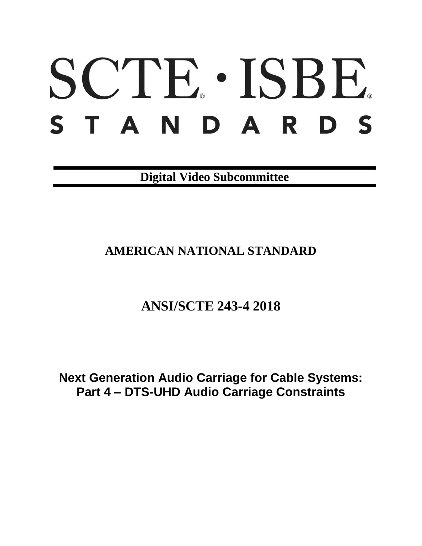# SCTE · ISBE. STANDARDS

**Digital Video Subcommittee**

# **AMERICAN NATIONAL STANDARD**

# **ANSI/SCTE 243-4 2018**

**Next Generation Audio Carriage for Cable Systems: Part 4 – DTS-UHD Audio Carriage Constraints**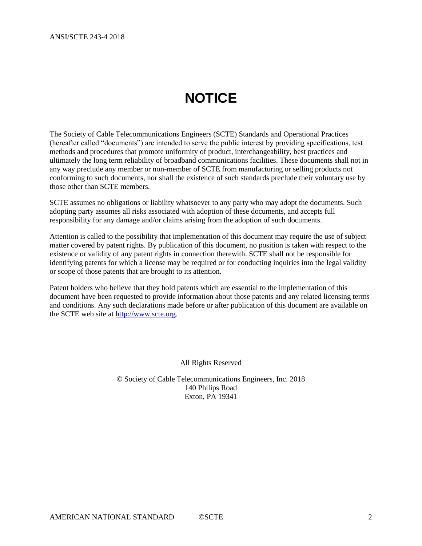# **NOTICE**

<span id="page-1-0"></span>The Society of Cable Telecommunications Engineers (SCTE) Standards and Operational Practices (hereafter called "documents") are intended to serve the public interest by providing specifications, test methods and procedures that promote uniformity of product, interchangeability, best practices and ultimately the long term reliability of broadband communications facilities. These documents shall not in any way preclude any member or non-member of SCTE from manufacturing or selling products not conforming to such documents, nor shall the existence of such standards preclude their voluntary use by those other than SCTE members.

SCTE assumes no obligations or liability whatsoever to any party who may adopt the documents. Such adopting party assumes all risks associated with adoption of these documents, and accepts full responsibility for any damage and/or claims arising from the adoption of such documents.

Attention is called to the possibility that implementation of this document may require the use of subject matter covered by patent rights. By publication of this document, no position is taken with respect to the existence or validity of any patent rights in connection therewith. SCTE shall not be responsible for identifying patents for which a license may be required or for conducting inquiries into the legal validity or scope of those patents that are brought to its attention.

Patent holders who believe that they hold patents which are essential to the implementation of this document have been requested to provide information about those patents and any related licensing terms and conditions. Any such declarations made before or after publication of this document are available on the SCTE web site at [http://www.scte.org.](http://www.scte.org/)

All Rights Reserved

© Society of Cable Telecommunications Engineers, Inc. 2018 140 Philips Road Exton, PA 19341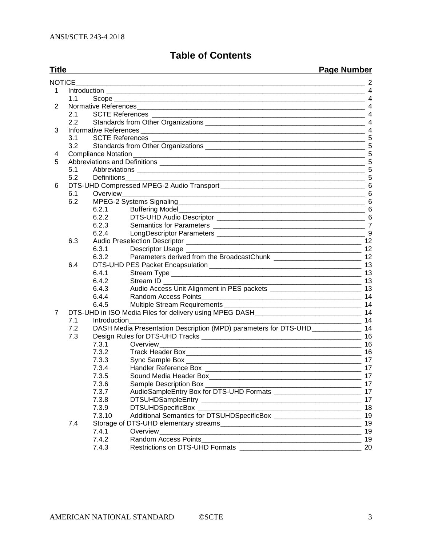### **Table of Contents**

**Title Page Number** [NOTICE\\_\\_\\_\\_\\_\\_\\_\\_\\_\\_\\_\\_\\_\\_\\_\\_\\_\\_\\_\\_\\_\\_\\_\\_\\_\\_\\_\\_\\_\\_\\_\\_\\_\\_\\_\\_\\_\\_\\_\\_\\_\\_\\_\\_\\_\\_\\_\\_\\_\\_\\_\\_\\_\\_\\_\\_\\_\\_\\_\\_\\_\\_\\_\\_\\_\\_\\_\\_\\_\\_\\_\\_\\_\\_\\_\\_](#page-1-0) 2 1 Introduction [\\_\\_\\_\\_\\_\\_\\_\\_\\_\\_\\_\\_\\_\\_\\_\\_\\_\\_\\_\\_\\_\\_\\_\\_\\_\\_\\_\\_\\_\\_\\_\\_\\_\\_\\_\\_\\_\\_\\_\\_\\_\\_\\_\\_\\_\\_\\_\\_\\_\\_\\_\\_\\_\\_\\_\\_\\_\\_\\_\\_\\_\\_\\_\\_\\_\\_\\_\\_](#page-3-0) 4 1.1 Scope [\\_\\_\\_\\_\\_\\_\\_\\_\\_\\_\\_\\_\\_\\_\\_\\_\\_\\_\\_\\_\\_\\_\\_\\_\\_\\_\\_\\_\\_\\_\\_\\_\\_\\_\\_\\_\\_\\_\\_\\_\\_\\_\\_\\_\\_\\_\\_\\_\\_\\_\\_\\_\\_\\_\\_\\_\\_\\_\\_\\_\\_\\_\\_\\_\\_\\_](#page-3-1) 4 2 [Normative References\\_\\_\\_\\_\\_\\_\\_\\_\\_\\_\\_\\_\\_\\_\\_\\_\\_\\_\\_\\_\\_\\_\\_\\_\\_\\_\\_\\_\\_\\_\\_\\_\\_\\_\\_\\_\\_\\_\\_\\_\\_\\_\\_\\_\\_\\_\\_\\_\\_\\_\\_\\_\\_\\_\\_\\_\\_\\_\\_\\_](#page-3-2) 4 2.1 SCTE References [\\_\\_\\_\\_\\_\\_\\_\\_\\_\\_\\_\\_\\_\\_\\_\\_\\_\\_\\_\\_\\_\\_\\_\\_\\_\\_\\_\\_\\_\\_\\_\\_\\_\\_\\_\\_\\_\\_\\_\\_\\_\\_\\_\\_\\_\\_\\_\\_\\_\\_\\_\\_\\_\\_\\_\\_](#page-3-3) 4 2.2 Standards from Other Organizations [\\_\\_\\_\\_\\_\\_\\_\\_\\_\\_\\_\\_\\_\\_\\_\\_\\_\\_\\_\\_\\_\\_\\_\\_\\_\\_\\_\\_\\_\\_\\_\\_\\_\\_\\_\\_\\_\\_\\_\\_\\_\\_](#page-3-4) 4 3 Informative References [\\_\\_\\_\\_\\_\\_\\_\\_\\_\\_\\_\\_\\_\\_\\_\\_\\_\\_\\_\\_\\_\\_\\_\\_\\_\\_\\_\\_\\_\\_\\_\\_\\_\\_\\_\\_\\_\\_\\_\\_\\_\\_\\_\\_\\_\\_\\_\\_\\_\\_\\_\\_\\_\\_\\_\\_\\_\\_\\_](#page-3-5) 4 3.1 SCTE References [\\_\\_\\_\\_\\_\\_\\_\\_\\_\\_\\_\\_\\_\\_\\_\\_\\_\\_\\_\\_\\_\\_\\_\\_\\_\\_\\_\\_\\_\\_\\_\\_\\_\\_\\_\\_\\_\\_\\_\\_\\_\\_\\_\\_\\_\\_\\_\\_\\_\\_\\_\\_\\_\\_\\_\\_](#page-4-0) 5 3.2 Standards from Other Organizations [\\_\\_\\_\\_\\_\\_\\_\\_\\_\\_\\_\\_\\_\\_\\_\\_\\_\\_\\_\\_\\_\\_\\_\\_\\_\\_\\_\\_\\_\\_\\_\\_\\_\\_\\_\\_\\_\\_\\_\\_\\_\\_](#page-4-1) 5 4 Compliance Notation [\\_\\_\\_\\_\\_\\_\\_\\_\\_\\_\\_\\_\\_\\_\\_\\_\\_\\_\\_\\_\\_\\_\\_\\_\\_\\_\\_\\_\\_\\_\\_\\_\\_\\_\\_\\_\\_\\_\\_\\_\\_\\_\\_\\_\\_\\_\\_\\_\\_\\_\\_\\_\\_\\_\\_\\_\\_\\_\\_\\_\\_](#page-4-2) 5 5 Abbreviations and Definitions [\\_\\_\\_\\_\\_\\_\\_\\_\\_\\_\\_\\_\\_\\_\\_\\_\\_\\_\\_\\_\\_\\_\\_\\_\\_\\_\\_\\_\\_\\_\\_\\_\\_\\_\\_\\_\\_\\_\\_\\_\\_\\_\\_\\_\\_\\_\\_\\_\\_\\_\\_\\_\\_\\_](#page-4-3) 5 5.1 Abbreviations [\\_\\_\\_\\_\\_\\_\\_\\_\\_\\_\\_\\_\\_\\_\\_\\_\\_\\_\\_\\_\\_\\_\\_\\_\\_\\_\\_\\_\\_\\_\\_\\_\\_\\_\\_\\_\\_\\_\\_\\_\\_\\_\\_\\_\\_\\_\\_\\_\\_\\_\\_\\_\\_\\_\\_\\_\\_\\_\\_\\_](#page-4-4) 5 5.2 [Definitions\\_\\_\\_\\_\\_\\_\\_\\_\\_\\_\\_\\_\\_\\_\\_\\_\\_\\_\\_\\_\\_\\_\\_\\_\\_\\_\\_\\_\\_\\_\\_\\_\\_\\_\\_\\_\\_\\_\\_\\_\\_\\_\\_\\_\\_\\_\\_\\_\\_\\_\\_\\_\\_\\_\\_\\_\\_\\_\\_\\_\\_\\_\\_](#page-4-5) 5 6 [DTS-UHD Compressed MPEG-2 Audio Transport](#page-5-0) \_\_\_\_\_\_\_\_\_\_\_\_\_\_\_\_\_\_\_\_\_\_\_\_\_\_\_\_\_\_\_\_\_\_\_\_\_\_ 6 6.1 [Overview\\_\\_\\_\\_\\_\\_\\_\\_\\_\\_\\_\\_\\_\\_\\_\\_\\_\\_\\_\\_\\_\\_\\_\\_\\_\\_\\_\\_\\_\\_\\_\\_\\_\\_\\_\\_\\_\\_\\_\\_\\_\\_\\_\\_\\_\\_\\_\\_\\_\\_\\_\\_\\_\\_\\_\\_\\_\\_\\_\\_\\_\\_\\_\\_](#page-5-1) 6 6.2 [MPEG-2 Systems Signaling\\_\\_\\_\\_\\_\\_\\_\\_\\_\\_\\_\\_\\_\\_\\_\\_\\_\\_\\_\\_\\_\\_\\_\\_\\_\\_\\_\\_\\_\\_\\_\\_\\_\\_\\_\\_\\_\\_\\_\\_\\_\\_\\_\\_\\_\\_\\_\\_\\_](#page-5-2) 6 6.2.1 [Buffering Model\\_\\_\\_\\_\\_\\_\\_\\_\\_\\_\\_\\_\\_\\_\\_\\_\\_\\_\\_\\_\\_\\_\\_\\_\\_\\_\\_\\_\\_\\_\\_\\_\\_\\_\\_\\_\\_\\_\\_\\_\\_\\_\\_\\_\\_\\_\\_\\_\\_](#page-5-3) 6 6.2.2 DTS-UHD Audio Descriptor [\\_\\_\\_\\_\\_\\_\\_\\_\\_\\_\\_\\_\\_\\_\\_\\_\\_\\_\\_\\_\\_\\_\\_\\_\\_\\_\\_\\_\\_\\_\\_\\_\\_\\_\\_\\_\\_\\_\\_](#page-5-4) 6 6.2.3 Semantics for Parameters [\\_\\_\\_\\_\\_\\_\\_\\_\\_\\_\\_\\_\\_\\_\\_\\_\\_\\_\\_\\_\\_\\_\\_\\_\\_\\_\\_\\_\\_\\_\\_\\_\\_\\_\\_\\_\\_\\_\\_\\_](#page-6-0) 7 6.2.4 LongDescriptor Parameters [\\_\\_\\_\\_\\_\\_\\_\\_\\_\\_\\_\\_\\_\\_\\_\\_\\_\\_\\_\\_\\_\\_\\_\\_\\_\\_\\_\\_\\_\\_\\_\\_\\_\\_\\_\\_\\_\\_\\_](#page-8-0) 9 6.3 Audio Preselection Descriptor [\\_\\_\\_\\_\\_\\_\\_\\_\\_\\_\\_\\_\\_\\_\\_\\_\\_\\_\\_\\_\\_\\_\\_\\_\\_\\_\\_\\_\\_\\_\\_\\_\\_\\_\\_\\_\\_\\_\\_\\_\\_\\_\\_\\_\\_\\_](#page-11-0) 12 6.3.1 Descriptor Usage [\\_\\_\\_\\_\\_\\_\\_\\_\\_\\_\\_\\_\\_\\_\\_\\_\\_\\_\\_\\_\\_\\_\\_\\_\\_\\_\\_\\_\\_\\_\\_\\_\\_\\_\\_\\_\\_\\_\\_\\_\\_\\_\\_\\_\\_\\_](#page-11-1) 12 6.3.2 Parameters [derived from the BroadcastChunk](#page-11-2) \_\_\_\_\_\_\_\_\_\_\_\_\_\_\_\_\_\_\_\_\_\_\_\_\_\_\_\_\_\_\_ 12 6.4 DTS-UHD PES Packet Encapsulation [\\_\\_\\_\\_\\_\\_\\_\\_\\_\\_\\_\\_\\_\\_\\_\\_\\_\\_\\_\\_\\_\\_\\_\\_\\_\\_\\_\\_\\_\\_\\_\\_\\_\\_\\_\\_\\_\\_\\_\\_](#page-12-0) 13 6.4.1 Stream Type [\\_\\_\\_\\_\\_\\_\\_\\_\\_\\_\\_\\_\\_\\_\\_\\_\\_\\_\\_\\_\\_\\_\\_\\_\\_\\_\\_\\_\\_\\_\\_\\_\\_\\_\\_\\_\\_\\_\\_\\_\\_\\_\\_\\_\\_\\_\\_\\_\\_\\_](#page-12-1) 13 6.4.2 Stream ID [\\_\\_\\_\\_\\_\\_\\_\\_\\_\\_\\_\\_\\_\\_\\_\\_\\_\\_\\_\\_\\_\\_\\_\\_\\_\\_\\_\\_\\_\\_\\_\\_\\_\\_\\_\\_\\_\\_\\_\\_\\_\\_\\_\\_\\_\\_\\_\\_\\_\\_\\_\\_](#page-12-2) 13 6.4.3 [Audio Access Unit Alignment in PES packets](#page-12-3) \_\_\_\_\_\_\_\_\_\_\_\_\_\_\_\_\_\_\_\_\_\_\_\_ 13 6.4.4 [Random Access Points\\_\\_\\_\\_\\_\\_\\_\\_\\_\\_\\_\\_\\_\\_\\_\\_\\_\\_\\_\\_\\_\\_\\_\\_\\_\\_\\_\\_\\_\\_\\_\\_\\_\\_\\_\\_\\_\\_\\_\\_\\_\\_](#page-13-0) 14 6.4.5 Multiple Stream Requirements [\\_\\_\\_\\_\\_\\_\\_\\_\\_\\_\\_\\_\\_\\_\\_\\_\\_\\_\\_\\_\\_\\_\\_\\_\\_\\_\\_\\_\\_\\_\\_\\_\\_\\_\\_\\_](#page-13-1) 14 7 [DTS-UHD in ISO Media Files for delivery using MPEG DASH\\_\\_\\_\\_\\_\\_\\_\\_\\_\\_\\_\\_\\_\\_\\_\\_\\_\\_\\_\\_\\_\\_\\_\\_\\_\\_\\_\\_](#page-13-2) 14 7.1 [Introduction\\_\\_\\_\\_\\_\\_\\_\\_\\_\\_\\_\\_\\_\\_\\_\\_\\_\\_\\_\\_\\_\\_\\_\\_\\_\\_\\_\\_\\_\\_\\_\\_\\_\\_\\_\\_\\_\\_\\_\\_\\_\\_\\_\\_\\_\\_\\_\\_\\_\\_\\_\\_\\_\\_\\_\\_\\_\\_\\_\\_\\_](#page-13-3) 14 7.2 [DASH Media Presentation Description \(MPD\) parameters for DTS-UHD\\_\\_\\_\\_\\_\\_\\_\\_\\_\\_\\_\\_\\_](#page-13-4) 14 7.3 Design Rules for DTS-UHD Tracks [\\_\\_\\_\\_\\_\\_\\_\\_\\_\\_\\_\\_\\_\\_\\_\\_\\_\\_\\_\\_\\_\\_\\_\\_\\_\\_\\_\\_\\_\\_\\_\\_\\_\\_\\_\\_\\_\\_\\_\\_\\_\\_](#page-15-0) 16 7.3.1 [Overview\\_\\_\\_\\_\\_\\_\\_\\_\\_\\_\\_\\_\\_\\_\\_\\_\\_\\_\\_\\_\\_\\_\\_\\_\\_\\_\\_\\_\\_\\_\\_\\_\\_\\_\\_\\_\\_\\_\\_\\_\\_\\_\\_\\_\\_\\_\\_\\_\\_\\_\\_\\_\\_](#page-15-1) 16 7.3.2 [Track Header Box\\_\\_\\_\\_\\_\\_\\_\\_\\_\\_\\_\\_\\_\\_\\_\\_\\_\\_\\_\\_\\_\\_\\_\\_\\_\\_\\_\\_\\_\\_\\_\\_\\_\\_\\_\\_\\_\\_\\_\\_\\_\\_\\_\\_\\_\\_](#page-15-2) 16 7.3.3 Sync Sample Box [\\_\\_\\_\\_\\_\\_\\_\\_\\_\\_\\_\\_\\_\\_\\_\\_\\_\\_\\_\\_\\_\\_\\_\\_\\_\\_\\_\\_\\_\\_\\_\\_\\_\\_\\_\\_\\_\\_\\_\\_\\_\\_\\_\\_\\_\\_](#page-16-0) 17 7.3.4 Handler Reference Box [\\_\\_\\_\\_\\_\\_\\_\\_\\_\\_\\_\\_\\_\\_\\_\\_\\_\\_\\_\\_\\_\\_\\_\\_\\_\\_\\_\\_\\_\\_\\_\\_\\_\\_\\_\\_\\_\\_\\_\\_\\_](#page-16-1) 17 7.3.5 [Sound Media Header Box\\_\\_\\_\\_\\_\\_\\_\\_\\_\\_\\_\\_\\_\\_\\_\\_\\_\\_\\_\\_\\_\\_\\_\\_\\_\\_\\_\\_\\_\\_\\_\\_\\_\\_\\_\\_\\_\\_\\_\\_](#page-16-2) 17 7.3.6 Sample Description Box [\\_\\_\\_\\_\\_\\_\\_\\_\\_\\_\\_\\_\\_\\_\\_\\_\\_\\_\\_\\_\\_\\_\\_\\_\\_\\_\\_\\_\\_\\_\\_\\_\\_\\_\\_\\_\\_\\_\\_\\_\\_](#page-16-3) 17 7.3.7 [AudioSampleEntry Box for DTS-UHD Formats](#page-16-4) \_\_\_\_\_\_\_\_\_\_\_\_\_\_\_\_\_\_\_\_\_\_\_\_\_\_\_\_\_\_\_\_ 17 7.3.8 DTSUHDSampleEntry [\\_\\_\\_\\_\\_\\_\\_\\_\\_\\_\\_\\_\\_\\_\\_\\_\\_\\_\\_\\_\\_\\_\\_\\_\\_\\_\\_\\_\\_\\_\\_\\_\\_\\_\\_\\_\\_\\_\\_\\_\\_\\_](#page-16-5) 17 7.3.9 DTSUHDSpecificBox [\\_\\_\\_\\_\\_\\_\\_\\_\\_\\_\\_\\_\\_\\_\\_\\_\\_\\_\\_\\_\\_\\_\\_\\_\\_\\_\\_\\_\\_\\_\\_\\_\\_\\_\\_\\_\\_\\_\\_\\_\\_\\_\\_](#page-17-0) 18 7.3.10 [Additional Semantics for DTSUHDSpecificBox](#page-18-0) \_\_\_\_\_\_\_\_\_\_\_\_\_\_\_\_\_\_\_\_\_\_\_ 19 7.4 [Storage of DTS-UHD elementary streams\\_\\_\\_\\_\\_\\_\\_\\_\\_\\_\\_\\_\\_\\_\\_\\_\\_\\_\\_\\_\\_\\_\\_\\_\\_\\_\\_\\_\\_\\_\\_\\_\\_\\_\\_\\_\\_](#page-18-1) 19 7.4.1 [Overview\\_\\_\\_\\_\\_\\_\\_\\_\\_\\_\\_\\_\\_\\_\\_\\_\\_\\_\\_\\_\\_\\_\\_\\_\\_\\_\\_\\_\\_\\_\\_\\_\\_\\_\\_\\_\\_\\_\\_\\_\\_\\_\\_\\_\\_\\_\\_\\_\\_\\_\\_\\_\\_](#page-18-2) 19 7.4.2 [Random Access Points\\_\\_\\_\\_\\_\\_\\_\\_\\_\\_\\_\\_\\_\\_\\_\\_\\_\\_\\_\\_\\_\\_\\_\\_\\_\\_\\_\\_\\_\\_\\_\\_\\_\\_\\_\\_\\_\\_\\_\\_\\_\\_](#page-18-3) 19

7.4.3 Restrictions on DTS-UHD Formats [\\_\\_\\_\\_\\_\\_\\_\\_\\_\\_\\_\\_\\_\\_\\_\\_\\_\\_\\_\\_\\_\\_\\_\\_\\_\\_\\_\\_\\_\\_\\_\\_](#page-19-0) 20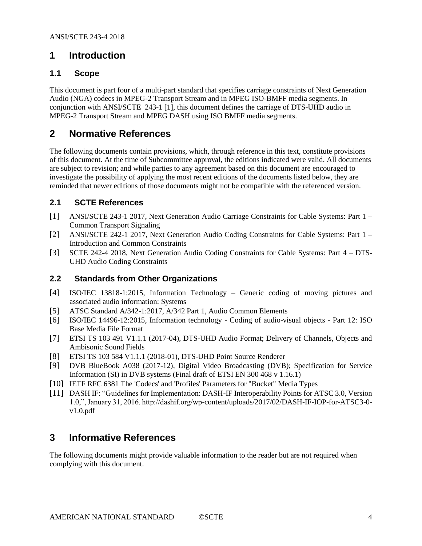# <span id="page-3-0"></span>**1 Introduction**

#### <span id="page-3-1"></span>**1.1 Scope**

This document is part four of a multi-part standard that specifies carriage constraints of Next Generation Audio (NGA) codecs in MPEG-2 Transport Stream and in MPEG ISO-BMFF media segments. In conjunction with ANSI/SCTE 243-1 [\[1\],](#page-3-6) this document defines the carriage of DTS-UHD audio in MPEG-2 Transport Stream and MPEG DASH using ISO BMFF media segments.

# <span id="page-3-2"></span>**2 Normative References**

The following documents contain provisions, which, through reference in this text, constitute provisions of this document. At the time of Subcommittee approval, the editions indicated were valid. All documents are subject to revision; and while parties to any agreement based on this document are encouraged to investigate the possibility of applying the most recent editions of the documents listed below, they are reminded that newer editions of those documents might not be compatible with the referenced version.

#### <span id="page-3-3"></span>**2.1 SCTE References**

- <span id="page-3-6"></span>[1] ANSI/SCTE 243-1 2017, Next Generation Audio Carriage Constraints for Cable Systems: Part 1 – Common Transport Signaling
- <span id="page-3-11"></span>[2] ANSI/SCTE 242-1 2017, Next Generation Audio Coding Constraints for Cable Systems: Part 1 – Introduction and Common Constraints
- <span id="page-3-7"></span>[3] SCTE 242-4 2018, Next Generation Audio Coding Constraints for Cable Systems: Part 4 – DTS-UHD Audio Coding Constraints

#### <span id="page-3-4"></span>**2.2 Standards from Other Organizations**

- <span id="page-3-8"></span>[4] ISO/IEC 13818-1:2015, Information Technology – Generic coding of moving pictures and associated audio information: Systems
- [5] ATSC Standard A/342-1:2017, A/342 Part 1, Audio Common Elements
- <span id="page-3-15"></span>[6] ISO/IEC 14496-12:2015, Information technology - Coding of audio-visual objects - Part 12: ISO Base Media File Format
- <span id="page-3-9"></span>[7] ETSI TS 103 491 V1.1.1 (2017-04), DTS-UHD Audio Format; Delivery of Channels, Objects and Ambisonic Sound Fields
- <span id="page-3-10"></span>[8] ETSI TS 103 584 V1.1.1 (2018-01), DTS-UHD Point Source Renderer
- <span id="page-3-12"></span>[9] DVB BlueBook A038 (2017-12), Digital Video Broadcasting (DVB); Specification for Service Information (SI) in DVB systems (Final draft of ETSI EN 300 468 v 1.16.1)
- <span id="page-3-13"></span>[10] IETF RFC 6381 The 'Codecs' and 'Profiles' Parameters for "Bucket" Media Types
- <span id="page-3-14"></span>[11] DASH IF: "Guidelines for Implementation: DASH-IF Interoperability Points for ATSC 3.0, Version 1.0,", January 31, 2016. http://dashif.org/wp-content/uploads/2017/02/DASH-IF-IOP-for-ATSC3-0 v1.0.pdf

## <span id="page-3-5"></span>**3 Informative References**

The following documents might provide valuable information to the reader but are not required when complying with this document.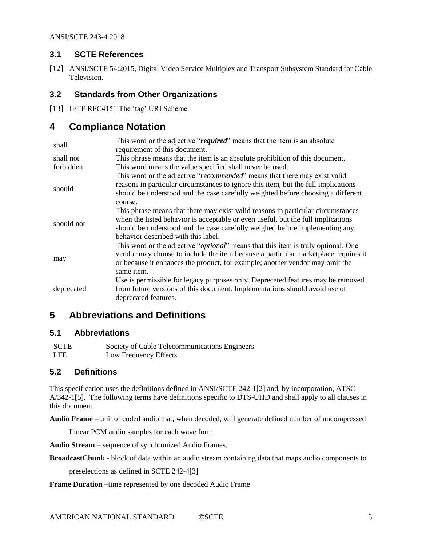#### <span id="page-4-0"></span>**3.1 SCTE References**

[12] ANSI/SCTE 54:2015, Digital Video Service Multiplex and Transport Subsystem Standard for Cable Television.

#### <span id="page-4-1"></span>**3.2 Standards from Other Organizations**

<span id="page-4-6"></span>[13] IETF RFC4151 The 'tag' URI Scheme

# <span id="page-4-2"></span>**4 Compliance Notation**

| shall      | This word or the adjective "required" means that the item is an absolute<br>requirement of this document.                                                                                                                                                                                  |
|------------|--------------------------------------------------------------------------------------------------------------------------------------------------------------------------------------------------------------------------------------------------------------------------------------------|
| shall not  | This phrase means that the item is an absolute prohibition of this document.                                                                                                                                                                                                               |
| forbidden  | This word means the value specified shall never be used.                                                                                                                                                                                                                                   |
| should     | This word or the adjective " <i>recommended</i> " means that there may exist valid<br>reasons in particular circumstances to ignore this item, but the full implications<br>should be understood and the case carefully weighted before choosing a different<br>course.                    |
| should not | This phrase means that there may exist valid reasons in particular circumstances<br>when the listed behavior is acceptable or even useful, but the full implications<br>should be understood and the case carefully weighed before implementing any<br>behavior described with this label. |
| may        | This word or the adjective " <i>optional</i> " means that this item is truly optional. One<br>vendor may choose to include the item because a particular marketplace requires it<br>or because it enhances the product, for example; another vendor may omit the<br>same item.             |
| deprecated | Use is permissible for legacy purposes only. Deprecated features may be removed<br>from future versions of this document. Implementations should avoid use of<br>deprecated features.                                                                                                      |

## <span id="page-4-3"></span>**5 Abbreviations and Definitions**

#### <span id="page-4-4"></span>**5.1 Abbreviations**

| <b>SCTE</b> | Society of Cable Telecommunications Engineers |
|-------------|-----------------------------------------------|
| <b>LFE</b>  | Low Frequency Effects                         |

#### <span id="page-4-5"></span>**5.2 Definitions**

This specification uses the definitions defined in ANSI/SCTE 242-1[2] and, by incorporation, ATSC A/342-1[5]. The following terms have definitions specific to DTS-UHD and shall apply to all clauses in this document.

**Audio Frame** – unit of coded audio that, when decoded, will generate defined number of uncompressed

Linear PCM audio samples for each wave form

**Audio Stream** – sequence of synchronized Audio Frames.

**BroadcastChunk** - block of data within an audio stream containing data that maps audio components to

preselections as defined in SCTE 242-[4\[3\]](#page-3-7)

**Frame Duration** –time represented by one decoded Audio Frame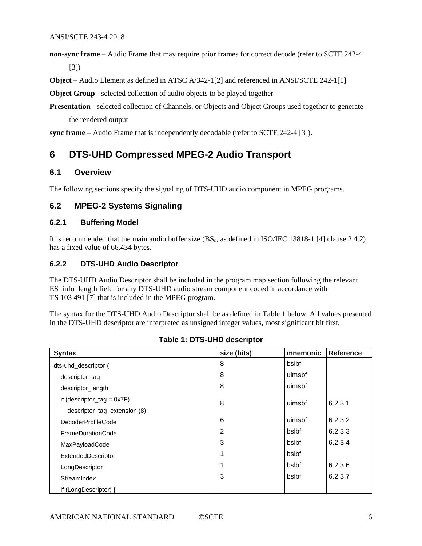**non-sync frame** – Audio Frame that may require prior frames for correct decode (refer to SCTE 242-4 [\[3\]\)](#page-3-7)

**Object –** Audio Element as defined in ATSC A/342-1[2] and referenced in ANSI/SCTE 242-1[1]

**Object Group -** selected collection of audio objects to be played together

**Presentation -** selected collection of Channels, or Objects and Object Groups used together to generate the rendered output

**sync frame** – Audio Frame that is independently decodable (refer to SCTE 242-4 [\[3\]\)](#page-3-7).

## <span id="page-5-0"></span>**6 DTS-UHD Compressed MPEG-2 Audio Transport**

#### <span id="page-5-1"></span>**6.1 Overview**

<span id="page-5-2"></span>The following sections specify the signaling of DTS-UHD audio component in MPEG programs.

#### **6.2 MPEG-2 Systems Signaling**

#### <span id="page-5-3"></span>**6.2.1 Buffering Model**

It is recommended that the main audio buffer size  $(BS_n)$ , as defined in ISO/IEC 13818-1 [\[4\]](#page-3-8) clause 2.4.2) has a fixed value of 66,434 bytes.

#### <span id="page-5-4"></span>**6.2.2 DTS-UHD Audio Descriptor**

The DTS-UHD Audio Descriptor shall be included in the program map section following the relevant ES info length field for any DTS-UHD audio stream component coded in accordance with TS 103 491 [\[7\]](#page-3-9) that is included in the MPEG program.

<span id="page-5-5"></span>The syntax for the DTS-UHD Audio Descriptor shall be as defined in [Table 1](#page-5-5) below. All values presented in the DTS-UHD descriptor are interpreted as unsigned integer values, most significant bit first.

| <b>Syntax</b>                 | size (bits) | mnemonic | <b>Reference</b> |
|-------------------------------|-------------|----------|------------------|
| dts-uhd_descriptor {          | 8           | bslbf    |                  |
| descriptor_tag                | 8           | uimsbf   |                  |
| descriptor_length             | 8           | uimsbf   |                  |
| if (descriptor_tag = $0x7F$ ) | 8           | uimsbf   | 6.2.3.1          |
| descriptor_tag_extension (8)  |             |          |                  |
| DecoderProfileCode            | 6           | uimsbf   | 6.2.3.2          |
| <b>FrameDurationCode</b>      | 2           | bslbf    | 6.2.3.3          |
| MaxPayloadCode                | 3           | bslbf    | 6.2.3.4          |
| ExtendedDescriptor            |             | bslbf    |                  |
| LongDescriptor                |             | bslbf    | 6.2.3.6          |
| StreamIndex                   | 3           | bslbf    | 6.2.3.7          |
| if (LongDescriptor)           |             |          |                  |

**Table 1: DTS-UHD descriptor**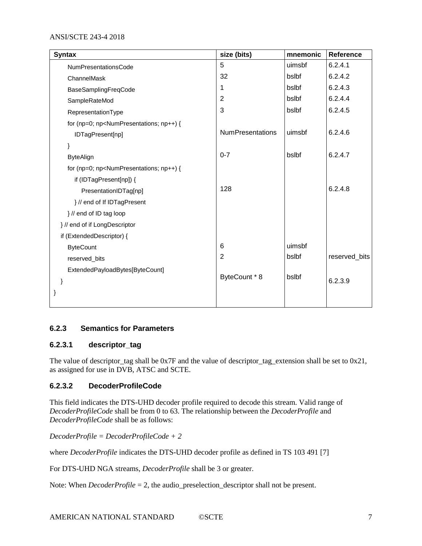| <b>Syntax</b>                                                                                         | size (bits)             | mnemonic | Reference     |
|-------------------------------------------------------------------------------------------------------|-------------------------|----------|---------------|
| <b>NumPresentationsCode</b>                                                                           | 5                       | uimsbf   | 6.2.4.1       |
| ChannelMask                                                                                           | 32                      | bslbf    | 6.2.4.2       |
| BaseSamplingFreqCode                                                                                  | 1                       | bslbf    | 6.2.4.3       |
| SampleRateMod                                                                                         | $\overline{2}$          | bslbf    | 6.2.4.4       |
| RepresentationType                                                                                    | 3                       | bslbf    | 6.2.4.5       |
| for (np=0; np <numpresentations; np++)="" td="" {<=""><td></td><td></td><td></td></numpresentations;> |                         |          |               |
| IDTagPresent[np]                                                                                      | <b>NumPresentations</b> | uimsbf   | 6.2.4.6       |
| }                                                                                                     |                         |          |               |
| <b>ByteAlign</b>                                                                                      | $0 - 7$                 | bslbf    | 6.2.4.7       |
| for (np=0; np <numpresentations; np++)="" td="" {<=""><td></td><td></td><td></td></numpresentations;> |                         |          |               |
| if (IDTagPresent[np]) {                                                                               |                         |          |               |
| PresentationIDTag[np]                                                                                 | 128                     |          | 6.2.4.8       |
| } // end of If IDTagPresent                                                                           |                         |          |               |
| } // end of ID tag loop                                                                               |                         |          |               |
| } // end of if LongDescriptor                                                                         |                         |          |               |
| if (ExtendedDescriptor) {                                                                             |                         |          |               |
| <b>ByteCount</b>                                                                                      | 6                       | uimsbf   |               |
| reserved_bits                                                                                         | $\overline{2}$          | bslbf    | reserved_bits |
| ExtendedPayloadBytes[ByteCount]<br>₹                                                                  | ByteCount * 8           | bslbf    | 6.2.3.9       |
|                                                                                                       |                         |          |               |

#### <span id="page-6-0"></span>**6.2.3 Semantics for Parameters**

#### <span id="page-6-1"></span>**6.2.3.1 descriptor\_tag**

The value of descriptor\_tag shall be 0x7F and the value of descriptor\_tag\_extension shall be set to 0x21, as assigned for use in DVB, ATSC and SCTE.

#### <span id="page-6-2"></span>**6.2.3.2 DecoderProfileCode**

This field indicates the DTS-UHD decoder profile required to decode this stream. Valid range of *DecoderProfileCode* shall be from 0 to 63. The relationship between the *DecoderProfile* and *DecoderProfileCode* shall be as follows:

*DecoderProfile = DecoderProfileCode + 2*

where *DecoderProfile* indicates the DTS-UHD decoder profile as defined in TS 103 491 [\[7\]](#page-3-9)

For DTS-UHD NGA streams, *DecoderProfile* shall be 3 or greater.

Note: When *DecoderProfile* = 2, the audio\_preselection\_descriptor shall not be present.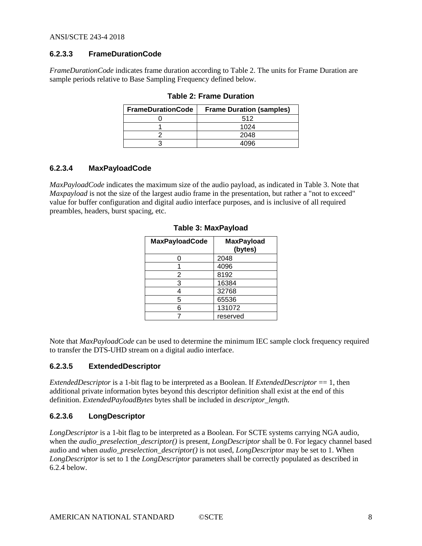#### <span id="page-7-0"></span>**6.2.3.3 FrameDurationCode**

<span id="page-7-3"></span>*FrameDurationCode* indicates frame duration according to [Table 2.](#page-7-3) The units for Frame Duration are sample periods relative to Base Sampling Frequency defined below.

| <b>FrameDurationCode</b> | <b>Frame Duration (samples)</b> |
|--------------------------|---------------------------------|
|                          | 512                             |
|                          | 1024                            |
|                          | 2048                            |
|                          |                                 |

#### **Table 2: Frame Duration**

#### <span id="page-7-1"></span>**6.2.3.4 MaxPayloadCode**

<span id="page-7-4"></span>*MaxPayloadCode* indicates the maximum size of the audio payload, as indicated in [Table 3.](#page-7-4) Note that *Maxpayload* is not the size of the largest audio frame in the presentation, but rather a "not to exceed" value for buffer configuration and digital audio interface purposes, and is inclusive of all required preambles, headers, burst spacing, etc.

| <b>MaxPayloadCode</b> | <b>MaxPayload</b><br>(bytes) |
|-----------------------|------------------------------|
|                       | 2048                         |
|                       | 4096                         |
| 2                     | 8192                         |
| 3                     | 16384                        |
| 4                     | 32768                        |
| 5                     | 65536                        |
| 6                     | 131072                       |
|                       | reserved                     |

**Table 3: MaxPayload**

Note that *MaxPayloadCode* can be used to determine the minimum IEC sample clock frequency required to transfer the DTS-UHD stream on a digital audio interface.

#### **6.2.3.5 ExtendedDescriptor**

*ExtendedDescriptor* is a 1-bit flag to be interpreted as a Boolean. If *ExtendedDescriptor* == 1, then additional private information bytes beyond this descriptor definition shall exist at the end of this definition. *ExtendedPayloadBytes* bytes shall be included in *descriptor\_length*.

#### <span id="page-7-2"></span>**6.2.3.6 LongDescriptor**

*LongDescriptor* is a 1-bit flag to be interpreted as a Boolean. For SCTE systems carrying NGA audio, when the *audio\_preselection\_descriptor()* is present, *LongDescriptor* shall be 0. For legacy channel based audio and when *audio\_preselection\_descriptor()* is not used, *LongDescriptor* may be set to 1. When *LongDescriptor* is set to 1 the *LongDescriptor* parameters shall be correctly populated as described in 6.2.4 below.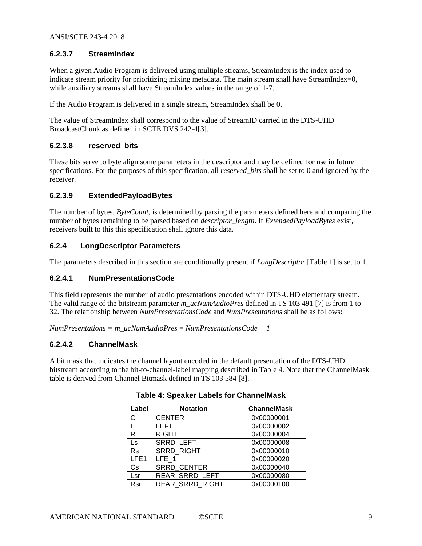#### <span id="page-8-1"></span>**6.2.3.7 StreamIndex**

When a given Audio Program is delivered using multiple streams, StreamIndex is the index used to indicate stream priority for prioritizing mixing metadata. The main stream shall have StreamIndex=0, while auxiliary streams shall have StreamIndex values in the range of 1-7.

If the Audio Program is delivered in a single stream, StreamIndex shall be 0.

The value of StreamIndex shall correspond to the value of StreamID carried in the DTS-UHD BroadcastChunk as defined in SCTE DVS 242-[4\[3\].](#page-3-7)

#### <span id="page-8-4"></span>**6.2.3.8 reserved\_bits**

These bits serve to byte align some parameters in the descriptor and may be defined for use in future specifications. For the purposes of this specification, all *reserved\_bits* shall be set to 0 and ignored by the receiver.

#### <span id="page-8-5"></span>**6.2.3.9 ExtendedPayloadBytes**

The number of bytes, *ByteCount*, is determined by parsing the parameters defined here and comparing the number of bytes remaining to be parsed based on *descriptor\_length*. If *ExtendedPayloadBytes* exist, receivers built to this this specification shall ignore this data.

#### <span id="page-8-0"></span>**6.2.4 LongDescriptor Parameters**

The parameters described in this section are conditionally present if *LongDescriptor* [\[Table 1\]](#page-5-5) is set to 1.

#### <span id="page-8-2"></span>**6.2.4.1 NumPresentationsCode**

This field represents the number of audio presentations encoded within DTS-UHD elementary stream. The valid range of the bitstream parameter *m\_ucNumAudioPres* defined in TS 103 491 [\[7\]](#page-3-9) is from 1 to 32. The relationship between *NumPresentationsCode* and *NumPresentations* shall be as follows:

<span id="page-8-3"></span>*NumPresentations = m\_ucNumAudioPres* = *NumPresentationsCode + 1*

#### **6.2.4.2 ChannelMask**

<span id="page-8-6"></span>A bit mask that indicates the channel layout encoded in the default presentation of the DTS-UHD bitstream according to the bit-to-channel-label mapping described in [Table 4.](#page-8-6) Note that the ChannelMask table is derived from Channel Bitmask defined in TS 103 584 [\[8\].](#page-3-10)

| Label            | <b>Notation</b>        | <b>ChannelMask</b> |
|------------------|------------------------|--------------------|
| $\mathsf{C}$     | <b>CENTER</b>          | 0x00000001         |
|                  | LEFT                   | 0x00000002         |
| R                | <b>RIGHT</b>           | 0x00000004         |
| Ls               | <b>SRRD LEFT</b>       | 0x00000008         |
| <b>Rs</b>        | <b>SRRD RIGHT</b>      | 0x00000010         |
| LFE <sub>1</sub> | LFE 1                  | 0x00000020         |
| Cs               | <b>SRRD CENTER</b>     | 0x00000040         |
| Lsr              | REAR SRRD LEFT         | 0x00000080         |
| Rsr              | <b>REAR SRRD RIGHT</b> | 0x00000100         |

#### **Table 4: Speaker Labels for ChannelMask**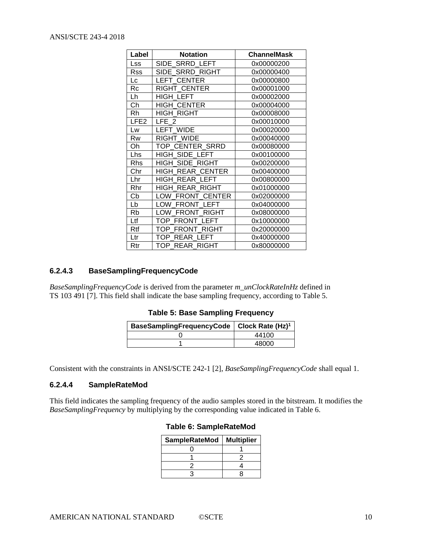| Label      | <b>Notation</b>         | <b>ChannelMask</b> |
|------------|-------------------------|--------------------|
| Lss        | SIDE SRRD LEFT          | 0x00000200         |
| Rss        | SIDE SRRD RIGHT         | 0x00000400         |
| Lc         | <b>LEFT CENTER</b>      | 0x00000800         |
| Rc         | <b>RIGHT CENTER</b>     | 0x00001000         |
| Lh         | <b>HIGH LEFT</b>        | 0x00002000         |
| Ch         | <b>HIGH CENTER</b>      | 0x00004000         |
| Rh         | HIGH RIGHT              | 0x00008000         |
| LFE2       | LFE <sub>2</sub>        | 0x00010000         |
| Lw         | <b>LEFT WIDE</b>        | 0x00020000         |
| Rw         | <b>RIGHT WIDE</b>       | 0x00040000         |
| Oh         | TOP CENTER SRRD         | 0x00080000         |
| Lhs        | HIGH SIDE LEFT          | 0x00100000         |
| <b>Rhs</b> | HIGH SIDE RIGHT         | 0x00200000         |
| Chr        | <b>HIGH REAR CENTER</b> | 0x00400000         |
| Lhr        | HIGH REAR LEFT          | 0x00800000         |
| Rhr        | HIGH REAR RIGHT         | 0x01000000         |
| Cb         | LOW FRONT CENTER        | 0x02000000         |
| Lb         | LOW FRONT LEFT          | 0x04000000         |
| <b>Rb</b>  | LOW FRONT RIGHT         | 0x08000000         |
| Ltf        | TOP FRONT LEFT          | 0x10000000         |
| Rtf        | TOP FRONT RIGHT         | 0x20000000         |
| Ltr        | TOP REAR LEFT           | 0x40000000         |
| Rtr        | TOP REAR RIGHT          | 0x80000000         |

#### <span id="page-9-0"></span>**6.2.4.3 BaseSamplingFrequencyCode**

<span id="page-9-2"></span>*BaseSamplingFrequencyCode* is derived from the parameter *m\_unClockRateInHz* defined in TS 103 491 [\[7\].](#page-3-9) This field shall indicate the base sampling frequency, according to [Table 5.](#page-9-2)

|  | <b>Table 5: Base Sampling Frequency</b> |  |  |
|--|-----------------------------------------|--|--|
|--|-----------------------------------------|--|--|

| BaseSamplingFrequencyCode   Clock Rate (Hz) <sup>1</sup> |       |
|----------------------------------------------------------|-------|
|                                                          | 44100 |
|                                                          | 48000 |

Consistent with the constraints in ANSI/SCTE 242-1 [\[2\],](#page-3-11) *BaseSamplingFrequencyCode* shall equal 1.

#### <span id="page-9-1"></span>**6.2.4.4 SampleRateMod**

<span id="page-9-3"></span>This field indicates the sampling frequency of the audio samples stored in the bitstream. It modifies the *BaseSamplingFrequency* by multiplying by the corresponding value indicated in [Table 6.](#page-9-3)

| <b>SampleRateMod</b> | <b>Multiplier</b> |
|----------------------|-------------------|
|                      |                   |
|                      |                   |
|                      |                   |
|                      |                   |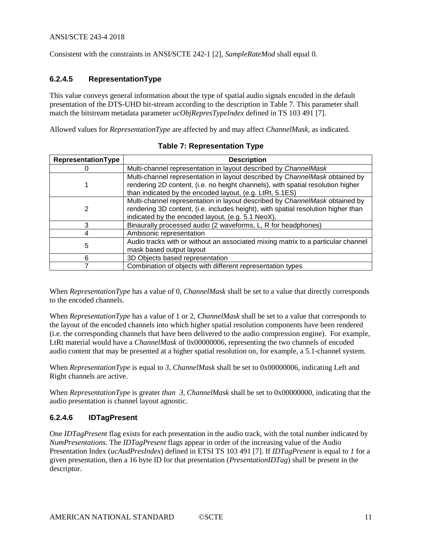Consistent with the constraints in ANSI/SCTE 242-1 [\[2\],](#page-3-11) *SampleRateMod* shall equal 0.

#### <span id="page-10-0"></span>**6.2.4.5 RepresentationType**

This value conveys general information about the type of spatial audio signals encoded in the default presentation of the DTS-UHD bit-stream according to the description in [Table 7.](#page-10-2) This parameter shall match the bitstream metadata parameter *ucObjRepresTypeIndex* defined in TS 103 491 [\[7\].](#page-3-9)

<span id="page-10-2"></span>Allowed values for *RepresentationType* are affected by and may affect *ChannelMask*, as indicated.

| RepresentationType | <b>Description</b>                                                                                                                                                                                                         |
|--------------------|----------------------------------------------------------------------------------------------------------------------------------------------------------------------------------------------------------------------------|
|                    | Multi-channel representation in layout described by ChannelMask                                                                                                                                                            |
|                    | Multi-channel representation in layout described by ChannelMask obtained by<br>rendering 2D content, (i.e. no height channels), with spatial resolution higher<br>than indicated by the encoded layout, (e.g. LtRt, 5.1ES) |
| 2                  | Multi-channel representation in layout described by ChannelMask obtained by<br>rendering 3D content, (i.e. includes height), with spatial resolution higher than<br>indicated by the encoded layout, (e.g. 5.1 NeoX),      |
| 3                  | Binaurally processed audio (2 waveforms, L, R for headphones)                                                                                                                                                              |
| 4                  | Ambisonic representation                                                                                                                                                                                                   |
| 5                  | Audio tracks with or without an associated mixing matrix to a particular channel<br>mask based output layout                                                                                                               |
| 6                  | 3D Objects based representation                                                                                                                                                                                            |
|                    | Combination of objects with different representation types                                                                                                                                                                 |

| <b>Table 7: Representation Type</b> |  |  |  |  |  |  |
|-------------------------------------|--|--|--|--|--|--|
|-------------------------------------|--|--|--|--|--|--|

When *RepresentationType* has a value of 0, *ChannelMask* shall be set to a value that directly corresponds to the encoded channels.

When *RepresentationType* has a value of 1 or 2, *ChannelMask* shall be set to a value that corresponds to the layout of the encoded channels into which higher spatial resolution components have been rendered (i.e. the corresponding channels that have been delivered to the audio compression engine). For example, LtRt material would have a *ChannelMask* of 0x00000006, representing the two channels of encoded audio content that may be presented at a higher spatial resolution on, for example, a 5.1-channel system.

When *RepresentationType* is equal to *3*, *ChannelMask* shall be set to 0x00000006, indicating Left and Right channels are active.

When *RepresentationType* is greater *than 3*, *ChannelMask* shall be set to 0x00000000, indicating that the audio presentation is channel layout agnostic.

#### <span id="page-10-1"></span>**6.2.4.6 IDTagPresent**

One *IDTagPresent* flag exists for each presentation in the audio track, with the total number indicated by *NumPresentations*. The *IDTagPresent* flags appear in order of the increasing value of the Audio Presentation Index (*ucAudPresIndex*) defined in ETSI TS 103 491 [\[7\].](#page-3-9) If *IDTagPresent* is equal to *1* for a given presentation, then a 16 byte ID for that presentation (*PresentationIDTag*) shall be present in the descriptor.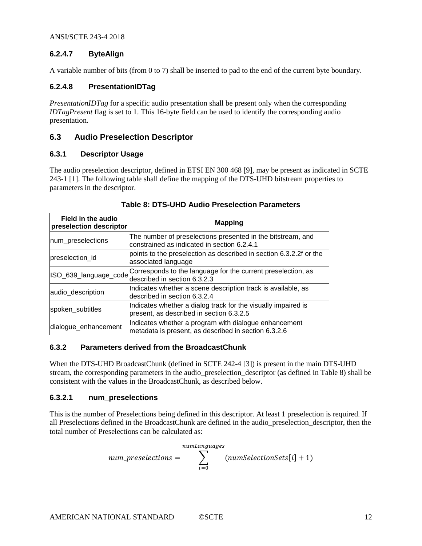#### <span id="page-11-3"></span>**6.2.4.7 ByteAlign**

A variable number of bits (from 0 to 7) shall be inserted to pad to the end of the current byte boundary.

#### <span id="page-11-4"></span>**6.2.4.8 PresentationIDTag**

*PresentationIDTag* for a specific audio presentation shall be present only when the corresponding *IDTagPresent* flag is set to 1. This 16-byte field can be used to identify the corresponding audio presentation.

#### <span id="page-11-0"></span>**6.3 Audio Preselection Descriptor**

#### <span id="page-11-1"></span>**6.3.1 Descriptor Usage**

The audio preselection descriptor, defined in ETSI EN 300 468 [\[9\],](#page-3-12) may be present as indicated in SCTE 243-1 [\[1\].](#page-3-6) The following table shall define the mapping of the DTS-UHD bitstream properties to parameters in the descriptor.

<span id="page-11-5"></span>

| <b>Field in the audio</b><br>preselection descriptor | <b>Mapping</b>                                                                                                                           |
|------------------------------------------------------|------------------------------------------------------------------------------------------------------------------------------------------|
| num_preselections                                    | The number of preselections presented in the bitstream, and<br>constrained as indicated in section 6.2.4.1                               |
| preselection id                                      | points to the preselection as described in section 6.3.2.2f or the<br>associated language                                                |
|                                                      | ISO_639_language_code Corresponds to the language for the current preselection, as<br>ISO_639_language_code described in section 6.3.2.3 |
| audio_description                                    | Indicates whether a scene description track is available, as<br>ldescribed in section 6.3.2.4                                            |
| spoken_subtitles                                     | Indicates whether a dialog track for the visually impaired is<br>present, as described in section 6.3.2.5                                |
| dialogue_enhancement                                 | Indicates whether a program with dialogue enhancement<br>metadata is present, as described in section 6.3.2.6                            |

#### **Table 8: DTS-UHD Audio Preselection Parameters**

#### <span id="page-11-2"></span>**6.3.2 Parameters derived from the BroadcastChunk**

When the DTS-UHD BroadcastChunk (defined in SCTE 242-4 [\[3\]\)](#page-3-7) is present in the main DTS-UHD stream, the corresponding parameters in the audio\_preselection\_descriptor (as defined in Table 8) shall be consistent with the values in the BroadcastChunk, as described below.

#### **6.3.2.1 num\_preselections**

This is the number of Preselections being defined in this descriptor. At least 1 preselection is required. If all Preselections defined in the BroadcastChunk are defined in the audio\_preselection\_descriptor, then the total number of Preselections can be calculated as:

$$
num_{preselections} = \sum_{i=0}^{numLanguages} (numSelectionSets[i] + 1)
$$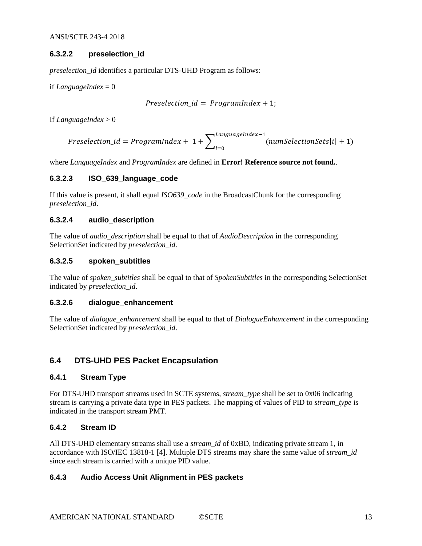#### <span id="page-12-4"></span>**6.3.2.2 preselection\_id**

*preselection\_id* identifies a particular DTS-UHD Program as follows:

if *LanguageIndex* = 0

$$
Preselectron\_id = ProgramIndex + 1;
$$

If *LanguageIndex* > 0

$$
Presidention\_id = ProgramIndex + 1 + \sum\nolimits_{i=0}^{LanguageIndex-1} (numSelectionSets[i] + 1)
$$

where *LanguageIndex* and *ProgramIndex* are defined in **Error! Reference source not found.**.

#### <span id="page-12-5"></span>**6.3.2.3 ISO\_639\_language\_code**

If this value is present, it shall equal *ISO639\_code* in the BroadcastChunk for the corresponding *preselection\_id*.

#### <span id="page-12-6"></span>**6.3.2.4 audio\_description**

The value of *audio\_description* shall be equal to that of *AudioDescription* in the corresponding SelectionSet indicated by *preselection\_id*.

#### <span id="page-12-7"></span>**6.3.2.5 spoken\_subtitles**

The value of *spoken\_subtitles* shall be equal to that of *SpokenSubtitles* in the corresponding SelectionSet indicated by *preselection\_id*.

#### <span id="page-12-8"></span>**6.3.2.6 dialogue\_enhancement**

The value of *dialogue\_enhancement* shall be equal to that of *DialogueEnhancement* in the corresponding SelectionSet indicated by *preselection\_id*.

#### <span id="page-12-0"></span>**6.4 DTS-UHD PES Packet Encapsulation**

#### <span id="page-12-1"></span>**6.4.1 Stream Type**

For DTS-UHD transport streams used in SCTE systems, *stream\_type* shall be set to 0x06 indicating stream is carrying a private data type in PES packets. The mapping of values of PID to *stream\_type* is indicated in the transport stream PMT.

#### <span id="page-12-2"></span>**6.4.2 Stream ID**

All DTS-UHD elementary streams shall use a *stream\_id* of 0xBD, indicating private stream 1, in accordance with ISO/IEC 13818-1 [\[4\].](#page-3-8) Multiple DTS streams may share the same value of *stream\_id* since each stream is carried with a unique PID value.

#### <span id="page-12-3"></span>**6.4.3 Audio Access Unit Alignment in PES packets**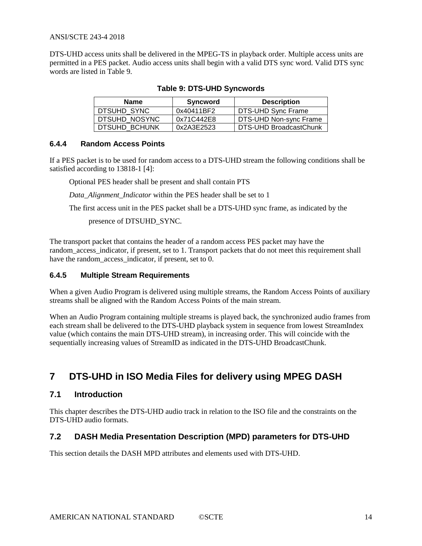<span id="page-13-5"></span>DTS-UHD access units shall be delivered in the MPEG-TS in playback order. Multiple access units are permitted in a PES packet. Audio access units shall begin with a valid DTS sync word. Valid DTS sync words are listed i[n Table 9.](#page-13-5)

| <b>Name</b>   | Syncword   | <b>Description</b>     |
|---------------|------------|------------------------|
| DTSUHD SYNC   | 0x40411BF2 | DTS-UHD Sync Frame     |
| DTSUHD NOSYNC | 0x71C442E8 | DTS-UHD Non-sync Frame |
| DTSUHD BCHUNK | 0x2A3E2523 | DTS-UHD BroadcastChunk |

#### **Table 9: DTS-UHD Syncwords**

#### <span id="page-13-0"></span>**6.4.4 Random Access Points**

If a PES packet is to be used for random access to a DTS-UHD stream the following conditions shall be satisfied according to 13818-1 [\[4\]:](#page-3-8)

Optional PES header shall be present and shall contain PTS

*Data\_Alignment\_Indicator* within the PES header shall be set to 1

The first access unit in the PES packet shall be a DTS-UHD sync frame, as indicated by the

presence of DTSUHD\_SYNC.

The transport packet that contains the header of a random access PES packet may have the random\_access\_indicator, if present, set to 1. Transport packets that do not meet this requirement shall have the random access indicator, if present, set to 0.

#### <span id="page-13-1"></span>**6.4.5 Multiple Stream Requirements**

When a given Audio Program is delivered using multiple streams, the Random Access Points of auxiliary streams shall be aligned with the Random Access Points of the main stream.

When an Audio Program containing multiple streams is played back, the synchronized audio frames from each stream shall be delivered to the DTS-UHD playback system in sequence from lowest StreamIndex value (which contains the main DTS-UHD stream), in increasing order. This will coincide with the sequentially increasing values of StreamID as indicated in the DTS-UHD BroadcastChunk.

# <span id="page-13-2"></span>**7 DTS-UHD in ISO Media Files for delivery using MPEG DASH**

#### <span id="page-13-3"></span>**7.1 Introduction**

This chapter describes the DTS-UHD audio track in relation to the ISO file and the constraints on the DTS-UHD audio formats.

#### <span id="page-13-4"></span>**7.2 DASH Media Presentation Description (MPD) parameters for DTS-UHD**

This section details the DASH MPD attributes and elements used with DTS-UHD.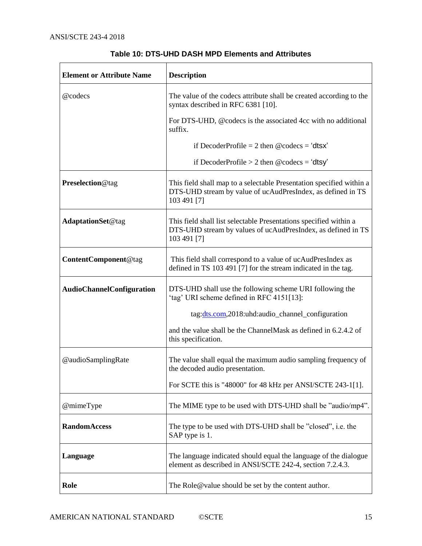| <b>Element or Attribute Name</b> | <b>Description</b>                                                                                                                                 |
|----------------------------------|----------------------------------------------------------------------------------------------------------------------------------------------------|
| @codecs                          | The value of the codecs attribute shall be created according to the<br>syntax described in RFC 6381 [10].                                          |
|                                  | For DTS-UHD, @codecs is the associated 4cc with no additional<br>suffix.                                                                           |
|                                  | if DecoderProfile = 2 then $@$ codecs = 'dtsx'                                                                                                     |
|                                  | if DecoderProfile $> 2$ then @codecs = 'dtsy'                                                                                                      |
| Preselection@tag                 | This field shall map to a selectable Presentation specified within a<br>DTS-UHD stream by value of ucAudPresIndex, as defined in TS<br>103 491 [7] |
| <b>AdaptationSet@tag</b>         | This field shall list selectable Presentations specified within a<br>DTS-UHD stream by values of ucAudPresIndex, as defined in TS<br>103 491 [7]   |
| ContentComponent@tag             | This field shall correspond to a value of ucAudPresIndex as<br>defined in TS 103 491 [7] for the stream indicated in the tag.                      |
| <b>AudioChannelConfiguration</b> | DTS-UHD shall use the following scheme URI following the<br>'tag' URI scheme defined in RFC 4151[13]:                                              |
|                                  | tag:dts.com, 2018: uhd: audio_channel_configuration                                                                                                |
|                                  | and the value shall be the ChannelMask as defined in 6.2.4.2 of<br>this specification.                                                             |
| @audioSamplingRate               | The value shall equal the maximum audio sampling frequency of<br>the decoded audio presentation.                                                   |
|                                  | For SCTE this is "48000" for 48 kHz per ANSI/SCTE 243-1[1].                                                                                        |
| @mimeType                        | The MIME type to be used with DTS-UHD shall be "audio/mp4".                                                                                        |
| <b>RandomAccess</b>              | The type to be used with DTS-UHD shall be "closed", i.e. the<br>SAP type is 1.                                                                     |
| Language                         | The language indicated should equal the language of the dialogue<br>element as described in ANSI/SCTE 242-4, section 7.2.4.3.                      |
| Role                             | The Role@value should be set by the content author.                                                                                                |

| Table 10: DTS-UHD DASH MPD Elements and Attributes |
|----------------------------------------------------|
|----------------------------------------------------|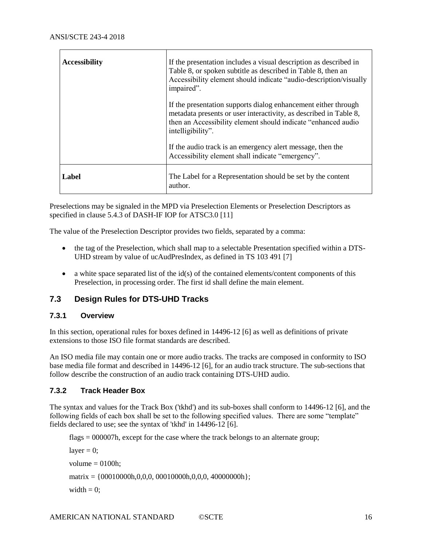| <b>Accessibility</b> | If the presentation includes a visual description as described in<br>Table 8, or spoken subtitle as described in Table 8, then an<br>Accessibility element should indicate "audio-description/visually<br>impaired".      |
|----------------------|---------------------------------------------------------------------------------------------------------------------------------------------------------------------------------------------------------------------------|
|                      | If the presentation supports dialog enhancement either through<br>metadata presents or user interactivity, as described in Table 8,<br>then an Accessibility element should indicate "enhanced audio<br>intelligibility". |
|                      | If the audio track is an emergency alert message, then the<br>Accessibility element shall indicate "emergency".                                                                                                           |
| Label                | The Label for a Representation should be set by the content<br>author.                                                                                                                                                    |

Preselections may be signaled in the MPD via Preselection Elements or Preselection Descriptors as specified in clause 5.4.3 of DASH-IF IOP for ATSC3.0 [\[11\]](#page-3-14)

The value of the Preselection Descriptor provides two fields, separated by a comma:

- the tag of the Preselection, which shall map to a selectable Presentation specified within a DTS-UHD stream by value of ucAudPresIndex, as defined in TS 103 491 [\[7\]](#page-3-9)
- $\bullet$  a white space separated list of the id(s) of the contained elements/content components of this Preselection, in processing order. The first id shall define the main element.

#### <span id="page-15-0"></span>**7.3 Design Rules for DTS-UHD Tracks**

#### <span id="page-15-1"></span>**7.3.1 Overview**

In this section, operational rules for boxes defined in 14496-12 [\[6\]](#page-3-15) as well as definitions of private extensions to those ISO file format standards are described.

An ISO media file may contain one or more audio tracks. The tracks are composed in conformity to ISO base media file format and described in 14496-12 [\[6\],](#page-3-15) for an audio track structure. The sub-sections that follow describe the construction of an audio track containing DTS-UHD audio.

#### <span id="page-15-2"></span>**7.3.2 Track Header Box**

The syntax and values for the Track Box ('tkhd') and its sub-boxes shall conform to 14496-12 [\[6\],](#page-3-15) and the following fields of each box shall be set to the following specified values. There are some "template" fields declared to use; see the syntax of 'tkhd' in 14496-12 [\[6\].](#page-3-15)

flags = 000007h, except for the case where the track belongs to an alternate group;

 $layer = 0;$ 

volume  $= 0100h$ ;

matrix =  $\{00010000h, 0, 0, 0, 00010000h, 0, 0, 0, 40000000h\};$ 

width  $= 0$ :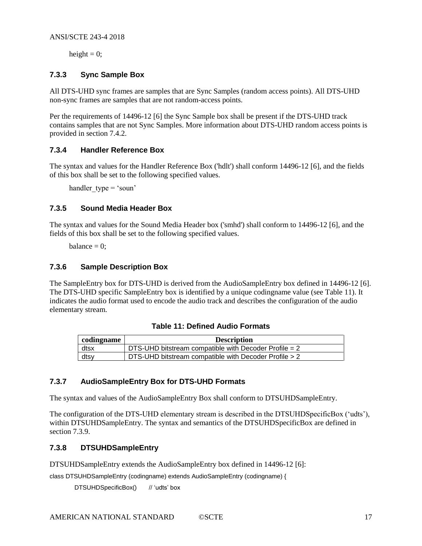height  $= 0$ :

#### <span id="page-16-0"></span>**7.3.3 Sync Sample Box**

All DTS-UHD sync frames are samples that are Sync Samples (random access points). All DTS-UHD non-sync frames are samples that are not random-access points.

Per the requirements of 14496-12 [\[6\]](#page-3-15) the Sync Sample box shall be present if the DTS-UHD track contains samples that are not Sync Samples. More information about DTS-UHD random access points is provided in section [7.4.2.](#page-18-3)

#### <span id="page-16-1"></span>**7.3.4 Handler Reference Box**

The syntax and values for the Handler Reference Box ('hdlt') shall conform 14496-12 [\[6\],](#page-3-15) and the fields of this box shall be set to the following specified values.

handler  $type = 'soun'$ 

#### <span id="page-16-2"></span>**7.3.5 Sound Media Header Box**

The syntax and values for the Sound Media Header box ('smhd') shall conform to 14496-12 [\[6\],](#page-3-15) and the fields of this box shall be set to the following specified values.

balance  $= 0$ ;

#### <span id="page-16-3"></span>**7.3.6 Sample Description Box**

<span id="page-16-6"></span>The SampleEntry box for DTS-UHD is derived from the AudioSampleEntry box defined in 14496-12 [\[6\].](#page-3-15) The DTS-UHD specific SampleEntry box is identified by a unique codingname value (see [Table 11\)](#page-16-6). It indicates the audio format used to encode the audio track and describes the configuration of the audio elementary stream.

| codingname | <b>Description</b>                                      |
|------------|---------------------------------------------------------|
| dtsx       | DTS-UHD bitstream compatible with Decoder Profile $= 2$ |
| dtsy       | DTS-UHD bitstream compatible with Decoder Profile $> 2$ |

#### **Table 11: Defined Audio Formats**

#### <span id="page-16-4"></span>**7.3.7 AudioSampleEntry Box for DTS-UHD Formats**

The syntax and values of the AudioSampleEntry Box shall conform to DTSUHDSampleEntry.

The configuration of the DTS-UHD elementary stream is described in the DTSUHDSpecificBox ('udts'), within DTSUHDSampleEntry. The syntax and semantics of the DTSUHDSpecificBox are defined in section [7.3.9.](#page-17-0)

#### <span id="page-16-5"></span>**7.3.8 DTSUHDSampleEntry**

DTSUHDSampleEntry extends the AudioSampleEntry box defined in 14496-12 [\[6\]:](#page-3-15)

class DTSUHDSampleEntry (codingname) extends AudioSampleEntry (codingname) {

DTSUHDSpecificBox() // 'udts' box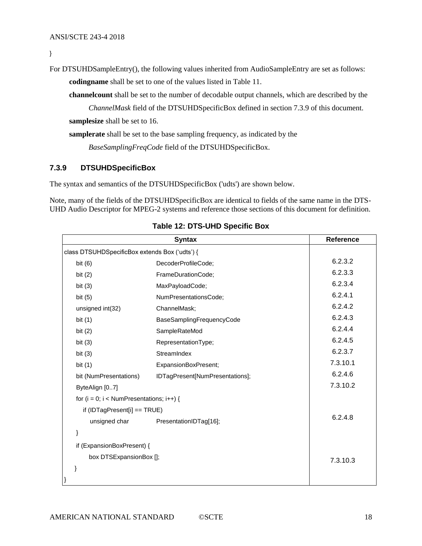}

For DTSUHDSampleEntry(), the following values inherited from AudioSampleEntry are set as follows: **codingname** shall be set to one of the values listed in [Table 11.](#page-16-6)

**channelcount** shall be set to the number of decodable output channels, which are described by the

*ChannelMask* field of the DTSUHDSpecificBox defined in section [7.3.9](#page-17-0) of this document. **samplesize** shall be set to 16.

**samplerate** shall be set to the base sampling frequency, as indicated by the

*BaseSamplingFreqCode* field of the DTSUHDSpecificBox.

#### <span id="page-17-0"></span>**7.3.9 DTSUHDSpecificBox**

The syntax and semantics of the DTSUHDSpecificBox ('udts') are shown below.

Note, many of the fields of the DTSUHDSpecificBox are identical to fields of the same name in the DTS-UHD Audio Descriptor for MPEG-2 systems and reference those sections of this document for definition.

|                                                | <b>Syntax</b>                   | <b>Reference</b> |
|------------------------------------------------|---------------------------------|------------------|
| class DTSUHDSpecificBox extends Box ('udts') { |                                 |                  |
| bit $(6)$                                      | DecoderProfileCode;             | 6.2.3.2          |
| bit $(2)$                                      | FrameDurationCode;              | 6.2.3.3          |
| bit $(3)$                                      | MaxPayloadCode;                 | 6.2.3.4          |
| bit $(5)$                                      | NumPresentationsCode;           | 6.2.4.1          |
| unsigned int(32)                               | ChannelMask;                    | 6.2.4.2          |
| bit $(1)$                                      | BaseSamplingFrequencyCode       | 6.2.4.3          |
| bit $(2)$                                      | SampleRateMod                   | 6.2.4.4          |
| bit $(3)$                                      | RepresentationType;             | 6.2.4.5          |
| bit $(3)$                                      | StreamIndex                     | 6.2.3.7          |
| bit $(1)$                                      | ExpansionBoxPresent;            | 7.3.10.1         |
| bit (NumPresentations)                         | IDTagPresent[NumPresentations]; | 6.2.4.6          |
| ByteAlign [07]                                 |                                 | 7.3.10.2         |
| for $(i = 0; i <$ NumPresentations; $i++$ ) {  |                                 |                  |
| if (IDTagPresent[i] == TRUE)                   |                                 |                  |
| unsigned char                                  | PresentationIDTag[16];          | 6.2.4.8          |
| }                                              |                                 |                  |
| if (ExpansionBoxPresent) {                     |                                 |                  |
| box DTSExpansionBox [];                        |                                 | 7.3.10.3         |
| }                                              |                                 |                  |
| }                                              |                                 |                  |

#### **Table 12: DTS-UHD Specific Box**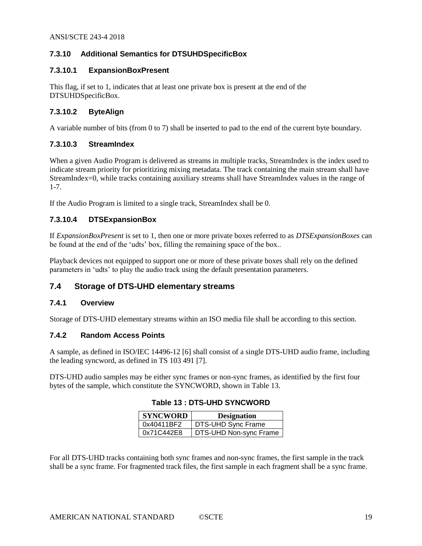#### <span id="page-18-0"></span>**7.3.10 Additional Semantics for DTSUHDSpecificBox**

#### <span id="page-18-4"></span>**7.3.10.1 ExpansionBoxPresent**

This flag, if set to 1, indicates that at least one private box is present at the end of the DTSUHDSpecificBox.

#### <span id="page-18-5"></span>**7.3.10.2 ByteAlign**

<span id="page-18-6"></span>A variable number of bits (from 0 to 7) shall be inserted to pad to the end of the current byte boundary.

#### **7.3.10.3 StreamIndex**

When a given Audio Program is delivered as streams in multiple tracks, StreamIndex is the index used to indicate stream priority for prioritizing mixing metadata. The track containing the main stream shall have StreamIndex=0, while tracks containing auxiliary streams shall have StreamIndex values in the range of 1-7.

If the Audio Program is limited to a single track, StreamIndex shall be 0.

#### **7.3.10.4 DTSExpansionBox**

If *ExpansionBoxPresent* is set to 1, then one or more private boxes referred to as *DTSExpansionBoxes* can be found at the end of the 'udts' box, filling the remaining space of the box..

Playback devices not equipped to support one or more of these private boxes shall rely on the defined parameters in 'udts' to play the audio track using the default presentation parameters.

#### <span id="page-18-1"></span>**7.4 Storage of DTS-UHD elementary streams**

#### <span id="page-18-2"></span>**7.4.1 Overview**

Storage of DTS-UHD elementary streams within an ISO media file shall be according to this section.

#### <span id="page-18-3"></span>**7.4.2 Random Access Points**

A sample, as defined in ISO/IEC 14496-12 [\[6\]](#page-3-15) shall consist of a single DTS-UHD audio frame, including the leading syncword, as defined in TS 103 491 [\[7\].](#page-3-9)

<span id="page-18-7"></span>DTS-UHD audio samples may be either sync frames or non-sync frames, as identified by the first four bytes of the sample, which constitute the SYNCWORD, shown in [Table 13.](#page-18-7)

| <b>SYNCWORD</b> | <b>Designation</b>     |
|-----------------|------------------------|
| 0x40411BF2      | DTS-UHD Sync Frame     |
| 0x71C442E8      | DTS-UHD Non-sync Frame |

**Table 13 : DTS-UHD SYNCWORD**

For all DTS-UHD tracks containing both sync frames and non-sync frames, the first sample in the track shall be a sync frame. For fragmented track files, the first sample in each fragment shall be a sync frame.